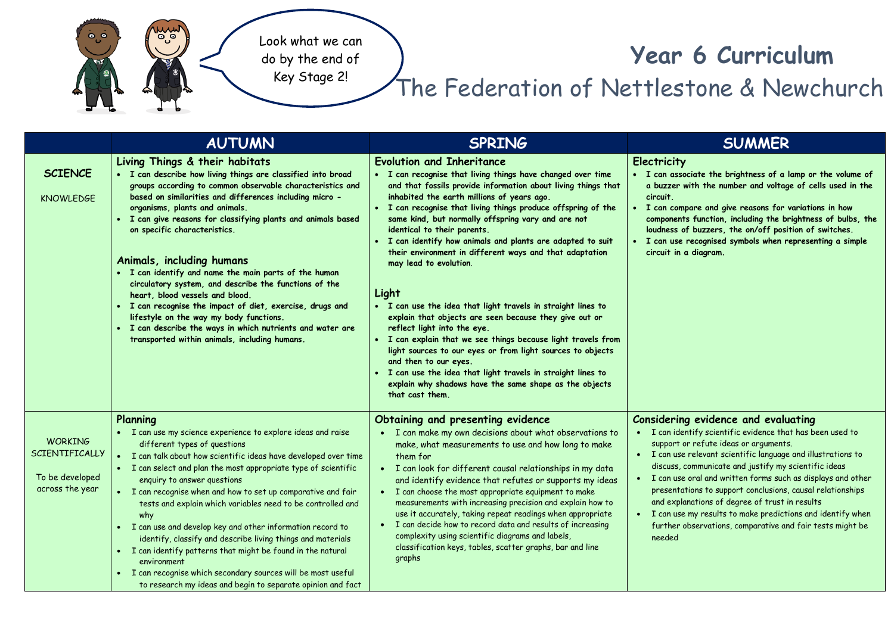

## **Year 6 Curriculum**

## The Federation of Nettlestone & Newchurch

|                                                                        | <b>AUTUMN</b>                                                                                                                                                                                                                                                                                                                                                                                                                                                                                                                                                                                                                                                                                                                                                      | <b>SPRING</b>                                                                                                                                                                                                                                                                                                                                                                                                                                                                                                                                                                                                                                                                                                                                                                                                                                                                                                                                                                                   | <b>SUMMER</b>                                                                                                                                                                                                                                                                                                                                                                                                                                                                                                                                                                               |
|------------------------------------------------------------------------|--------------------------------------------------------------------------------------------------------------------------------------------------------------------------------------------------------------------------------------------------------------------------------------------------------------------------------------------------------------------------------------------------------------------------------------------------------------------------------------------------------------------------------------------------------------------------------------------------------------------------------------------------------------------------------------------------------------------------------------------------------------------|-------------------------------------------------------------------------------------------------------------------------------------------------------------------------------------------------------------------------------------------------------------------------------------------------------------------------------------------------------------------------------------------------------------------------------------------------------------------------------------------------------------------------------------------------------------------------------------------------------------------------------------------------------------------------------------------------------------------------------------------------------------------------------------------------------------------------------------------------------------------------------------------------------------------------------------------------------------------------------------------------|---------------------------------------------------------------------------------------------------------------------------------------------------------------------------------------------------------------------------------------------------------------------------------------------------------------------------------------------------------------------------------------------------------------------------------------------------------------------------------------------------------------------------------------------------------------------------------------------|
| <b>SCIENCE</b><br><b>KNOWLEDGE</b>                                     | Living Things & their habitats<br>· I can describe how living things are classified into broad<br>groups according to common observable characteristics and<br>based on similarities and differences including micro -<br>organisms, plants and animals.<br>• I can give reasons for classifying plants and animals based<br>on specific characteristics.<br>Animals, including humans<br>. I can identify and name the main parts of the human<br>circulatory system, and describe the functions of the<br>heart, blood vessels and blood.<br>· I can recognise the impact of diet, exercise, drugs and<br>lifestyle on the way my body functions.<br>• I can describe the ways in which nutrients and water are<br>transported within animals, including humans. | <b>Evolution and Inheritance</b><br>• I can recognise that living things have changed over time<br>and that fossils provide information about living things that<br>inhabited the earth millions of years ago.<br>• I can recognise that living things produce offspring of the<br>same kind, but normally offspring vary and are not<br>identical to their parents.<br>• I can identify how animals and plants are adapted to suit<br>their environment in different ways and that adaptation<br>may lead to evolution.<br>Light<br>. I can use the idea that light travels in straight lines to<br>explain that objects are seen because they give out or<br>reflect light into the eye.<br>. I can explain that we see things because light travels from<br>light sources to our eyes or from light sources to objects<br>and then to our eyes.<br>. I can use the idea that light travels in straight lines to<br>explain why shadows have the same shape as the objects<br>that cast them. | <b>Electricity</b><br>• I can associate the brightness of a lamp or the volume of<br>a buzzer with the number and voltage of cells used in the<br>circuit.<br>• I can compare and give reasons for variations in how<br>components function, including the brightness of bulbs, the<br>loudness of buzzers, the on/off position of switches.<br>I can use recognised symbols when representing a simple<br>circuit in a diagram.                                                                                                                                                            |
| <b>WORKING</b><br>SCIENTIFICALLY<br>To be developed<br>across the year | Planning<br>• I can use my science experience to explore ideas and raise<br>different types of questions<br>· I can talk about how scientific ideas have developed over time<br>• I can select and plan the most appropriate type of scientific<br>enquiry to answer questions<br>• I can recognise when and how to set up comparative and fair<br>tests and explain which variables need to be controlled and<br>why<br>• I can use and develop key and other information record to<br>identify, classify and describe living things and materials<br>• I can identify patterns that might be found in the natural<br>environment<br>• I can recognise which secondary sources will be most useful<br>to research my ideas and begin to separate opinion and fact | Obtaining and presenting evidence<br>• I can make my own decisions about what observations to<br>make, what measurements to use and how long to make<br>them for<br>• I can look for different causal relationships in my data<br>and identify evidence that refutes or supports my ideas<br>• I can choose the most appropriate equipment to make<br>measurements with increasing precision and explain how to<br>use it accurately, taking repeat readings when appropriate<br>• I can decide how to record data and results of increasing<br>complexity using scientific diagrams and labels,<br>classification keys, tables, scatter graphs, bar and line<br>graphs                                                                                                                                                                                                                                                                                                                         | Considering evidence and evaluating<br>• I can identify scientific evidence that has been used to<br>support or refute ideas or arguments.<br>• I can use relevant scientific language and illustrations to<br>discuss, communicate and justify my scientific ideas<br>. I can use oral and written forms such as displays and other<br>presentations to support conclusions, causal relationships<br>and explanations of degree of trust in results<br>• I can use my results to make predictions and identify when<br>further observations, comparative and fair tests might be<br>needed |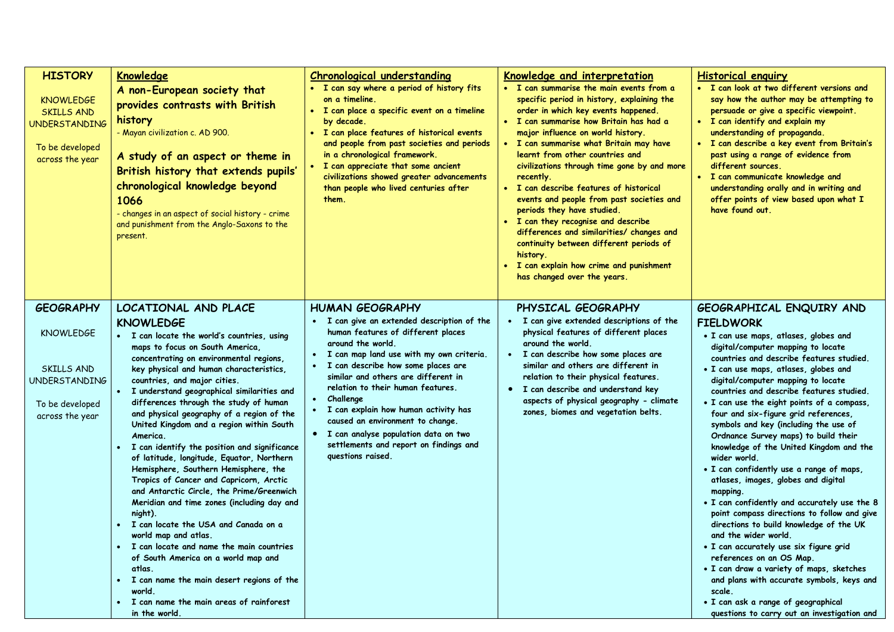| <b>HISTORY</b><br><b>KNOWLEDGE</b><br><b>SKILLS AND</b><br><b>UNDERSTANDING</b><br>To be developed<br>across the year   | Knowledge<br>A non-European society that<br>provides contrasts with British<br>history<br>- Mayan civilization c. AD 900.<br>A study of an aspect or theme in                                                                                                                                                                                                                                                                                                                                                                                                                                                                                                                                                                                                                                                                                                                                                                                                                                                                   | <b>Chronological understanding</b><br>· I can say where a period of history fits<br>on a timeline.<br>• I can place a specific event on a timeline<br>by decade.<br>I can place features of historical events<br>and people from past societies and periods<br>in a chronological framework.                                                                                                                                                                                                                        | <b>Knowledge and interpretation</b><br>• I can summarise the main events from a<br>specific period in history, explaining the<br>order in which key events happened.<br>· I can summarise how Britain has had a<br>major influence on world history.<br>• I can summarise what Britain may have<br>learnt from other countries and                                                               | <b>Historical enquiry</b><br>• I can look at two different versions and<br>say how the author may be attempting to<br>persuade or give a specific viewpoint.<br>• I can identify and explain my<br>understanding of propaganda.<br>· I can describe a key event from Britain's<br>past using a range of evidence from                                                                                                                                                                                                                                                                                                                                                                                                                                                                                                                                                                                                                                                                                                                                                |
|-------------------------------------------------------------------------------------------------------------------------|---------------------------------------------------------------------------------------------------------------------------------------------------------------------------------------------------------------------------------------------------------------------------------------------------------------------------------------------------------------------------------------------------------------------------------------------------------------------------------------------------------------------------------------------------------------------------------------------------------------------------------------------------------------------------------------------------------------------------------------------------------------------------------------------------------------------------------------------------------------------------------------------------------------------------------------------------------------------------------------------------------------------------------|---------------------------------------------------------------------------------------------------------------------------------------------------------------------------------------------------------------------------------------------------------------------------------------------------------------------------------------------------------------------------------------------------------------------------------------------------------------------------------------------------------------------|--------------------------------------------------------------------------------------------------------------------------------------------------------------------------------------------------------------------------------------------------------------------------------------------------------------------------------------------------------------------------------------------------|----------------------------------------------------------------------------------------------------------------------------------------------------------------------------------------------------------------------------------------------------------------------------------------------------------------------------------------------------------------------------------------------------------------------------------------------------------------------------------------------------------------------------------------------------------------------------------------------------------------------------------------------------------------------------------------------------------------------------------------------------------------------------------------------------------------------------------------------------------------------------------------------------------------------------------------------------------------------------------------------------------------------------------------------------------------------|
|                                                                                                                         | British history that extends pupils'<br>chronological knowledge beyond<br>1066<br>- changes in an aspect of social history - crime<br>and punishment from the Anglo-Saxons to the<br>present.                                                                                                                                                                                                                                                                                                                                                                                                                                                                                                                                                                                                                                                                                                                                                                                                                                   | • I can appreciate that some ancient<br>civilizations showed greater advancements<br>than people who lived centuries after<br>them.                                                                                                                                                                                                                                                                                                                                                                                 | civilizations through time gone by and more<br>recently.<br>• I can describe features of historical<br>events and people from past societies and<br>periods they have studied.<br>I can they recognise and describe<br>differences and similarities/ changes and<br>continuity between different periods of<br>history.<br>I can explain how crime and punishment<br>has changed over the years. | different sources.<br>I can communicate knowledge and<br>understanding orally and in writing and<br>offer points of view based upon what I<br>have found out.                                                                                                                                                                                                                                                                                                                                                                                                                                                                                                                                                                                                                                                                                                                                                                                                                                                                                                        |
| <b>GEOGRAPHY</b><br><b>KNOWLEDGE</b><br><b>SKILLS AND</b><br><b>UNDERSTANDING</b><br>To be developed<br>across the year | LOCATIONAL AND PLACE<br><b>KNOWLEDGE</b><br>• I can locate the world's countries, using<br>maps to focus on South America,<br>concentrating on environmental regions,<br>key physical and human characteristics,<br>countries, and major cities.<br>· I understand geographical similarities and<br>differences through the study of human<br>and physical geography of a region of the<br>United Kingdom and a region within South<br>America.<br>• I can identify the position and significance<br>of latitude, longitude, Equator, Northern<br>Hemisphere, Southern Hemisphere, the<br>Tropics of Cancer and Capricorn, Arctic<br>and Antarctic Circle, the Prime/Greenwich<br>Meridian and time zones (including day and<br>night).<br>• I can locate the USA and Canada on a<br>world map and atlas.<br>• I can locate and name the main countries<br>of South America on a world map and<br>atlas.<br>• I can name the main desert regions of the<br>world.<br>• I can name the main areas of rainforest<br>in the world. | <b>HUMAN GEOGRAPHY</b><br>· I can give an extended description of the<br>human features of different places<br>around the world.<br>· I can map land use with my own criteria.<br>• I can describe how some places are<br>similar and others are different in<br>relation to their human features.<br>Challenge<br>$\bullet$<br>· I can explain how human activity has<br>caused an environment to change.<br>• I can analyse population data on two<br>settlements and report on findings and<br>questions raised. | PHYSICAL GEOGRAPHY<br>· I can give extended descriptions of the<br>physical features of different places<br>around the world.<br>• I can describe how some places are<br>similar and others are different in<br>relation to their physical features.<br>• I can describe and understand key<br>aspects of physical geography - climate<br>zones, biomes and vegetation belts.                    | GEOGRAPHICAL ENQUIRY AND<br><b>FIELDWORK</b><br>. I can use maps, atlases, globes and<br>digital/computer mapping to locate<br>countries and describe features studied.<br>. I can use maps, atlases, globes and<br>digital/computer mapping to locate<br>countries and describe features studied.<br>. I can use the eight points of a compass,<br>four and six-figure grid references,<br>symbols and key (including the use of<br>Ordnance Survey maps) to build their<br>knowledge of the United Kingdom and the<br>wider world.<br>. I can confidently use a range of maps,<br>atlases, images, globes and digital<br>mapping.<br>. I can confidently and accurately use the 8<br>point compass directions to follow and give<br>directions to build knowledge of the UK<br>and the wider world.<br>. I can accurately use six figure grid<br>references on an OS Map.<br>. I can draw a variety of maps, sketches<br>and plans with accurate symbols, keys and<br>scale.<br>· I can ask a range of geographical<br>questions to carry out an investigation and |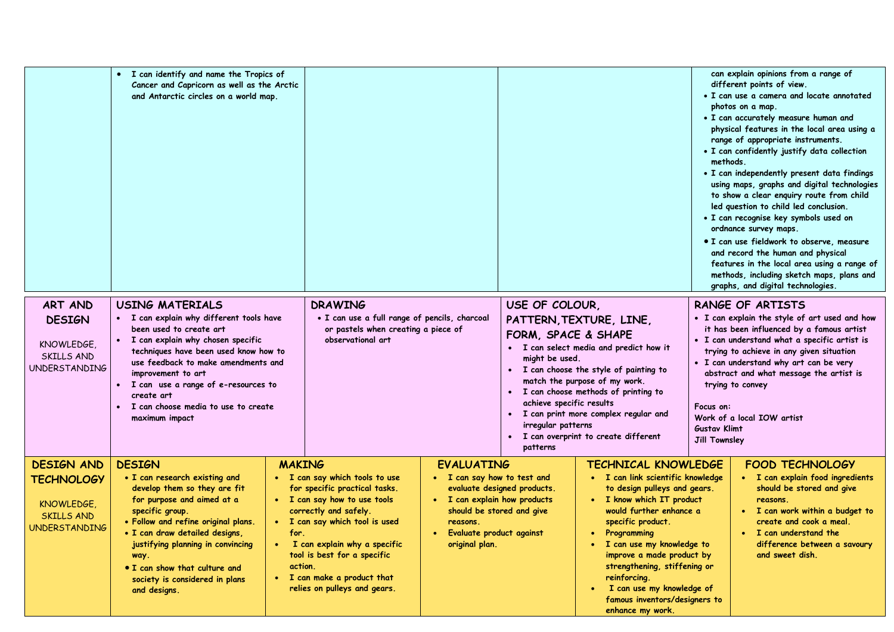| ART AND<br><b>DESIGN</b>                                                                          | I can identify and name the Tropics of<br>Cancer and Capricorn as well as the Arctic<br>and Antarctic circles on a world map.<br><b>USING MATERIALS</b><br>• I can explain why different tools have                                                                                                                                      |                                               | <b>DRAWING</b><br>• I can use a full range of pencils, charcoal                                                                                                                                                                                                                          |                                                                                                                                              | USE OF COLOUR,                                                                                      | PATTERN, TEXTURE, LINE,                                                                                                                                                                                                                                                                                                                                                                 | methods.                                                 | can explain opinions from a range of<br>different points of view.<br>• I can use a camera and locate annotated<br>photos on a map.<br>• I can accurately measure human and<br>physical features in the local area using a<br>range of appropriate instruments.<br>• I can confidently justify data collection<br>• I can independently present data findings<br>using maps, graphs and digital technologies<br>to show a clear enquiry route from child<br>led question to child led conclusion.<br>· I can recognise key symbols used on<br>ordnance survey maps.<br>• I can use fieldwork to observe, measure<br>and record the human and physical<br>features in the local area using a range of<br>methods, including sketch maps, plans and<br>graphs, and digital technologies.<br><b>RANGE OF ARTISTS</b><br>• I can explain the style of art used and how |
|---------------------------------------------------------------------------------------------------|------------------------------------------------------------------------------------------------------------------------------------------------------------------------------------------------------------------------------------------------------------------------------------------------------------------------------------------|-----------------------------------------------|------------------------------------------------------------------------------------------------------------------------------------------------------------------------------------------------------------------------------------------------------------------------------------------|----------------------------------------------------------------------------------------------------------------------------------------------|-----------------------------------------------------------------------------------------------------|-----------------------------------------------------------------------------------------------------------------------------------------------------------------------------------------------------------------------------------------------------------------------------------------------------------------------------------------------------------------------------------------|----------------------------------------------------------|-------------------------------------------------------------------------------------------------------------------------------------------------------------------------------------------------------------------------------------------------------------------------------------------------------------------------------------------------------------------------------------------------------------------------------------------------------------------------------------------------------------------------------------------------------------------------------------------------------------------------------------------------------------------------------------------------------------------------------------------------------------------------------------------------------------------------------------------------------------------|
| KNOWLEDGE,<br>SKILLS AND<br><b>UNDERSTANDING</b>                                                  | been used to create art<br>• I can explain why chosen specific<br>techniques have been used know how to<br>use feedback to make amendments and<br>improvement to art<br>I can use a range of e-resources to<br>$\bullet$<br>create art<br>• I can choose media to use to create<br>maximum impact                                        |                                               | or pastels when creating a piece of<br>observational art                                                                                                                                                                                                                                 |                                                                                                                                              | FORM, SPACE & SHAPE<br>might be used.<br>achieve specific results<br>irregular patterns<br>patterns | · I can select media and predict how it<br>• I can choose the style of painting to<br>match the purpose of my work.<br>· I can choose methods of printing to<br>· I can print more complex regular and<br>· I can overprint to create different                                                                                                                                         | Focus on:<br><b>Gustav Klimt</b><br><b>Jill Townsley</b> | it has been influenced by a famous artist<br>• I can understand what a specific artist is<br>trying to achieve in any given situation<br>. I can understand why art can be very<br>abstract and what message the artist is<br>trying to convey<br>Work of a local IOW artist                                                                                                                                                                                                                                                                                                                                                                                                                                                                                                                                                                                      |
| <b>DESIGN AND</b><br><b>TECHNOLOGY</b><br>KNOWLEDGE,<br><b>SKILLS AND</b><br><b>UNDERSTANDING</b> | <b>DESIGN</b><br>• I can research existing and<br>develop them so they are fit<br>for purpose and aimed at a<br>specific group.<br>· Follow and refine original plans.<br>· I can draw detailed designs,<br>justifying planning in convincing<br>way.<br>• I can show that culture and<br>society is considered in plans<br>and designs. | <b>MAKING</b><br>for.<br>$\bullet$<br>action. | • I can say which tools to use<br>for specific practical tasks.<br>• I can say how to use tools<br>correctly and safely.<br>• I can say which tool is used<br>I can explain why a specific<br>tool is best for a specific<br>• I can make a product that<br>relies on pulleys and gears. | <b>EVALUATING</b><br>• I can say how to test and<br>• I can explain how products<br>reasons.<br>· Evaluate product against<br>original plan. | evaluate designed products.<br>should be stored and give                                            | <b>TECHNICAL KNOWLEDGE</b><br>· I can link scientific knowledge<br>to design pulleys and gears.<br>• I know which IT product<br>would further enhance a<br>specific product.<br>Programming<br>I can use my knowledge to<br>improve a made product by<br>strengthening, stiffening or<br>reinforcing.<br>I can use my knowledge of<br>famous inventors/designers to<br>enhance my work. |                                                          | <b>FOOD TECHNOLOGY</b><br>• I can explain food ingredients<br>should be stored and give<br>reasons.<br>• I can work within a budget to<br>create and cook a meal.<br>• I can understand the<br>difference between a savoury<br>and sweet dish.                                                                                                                                                                                                                                                                                                                                                                                                                                                                                                                                                                                                                    |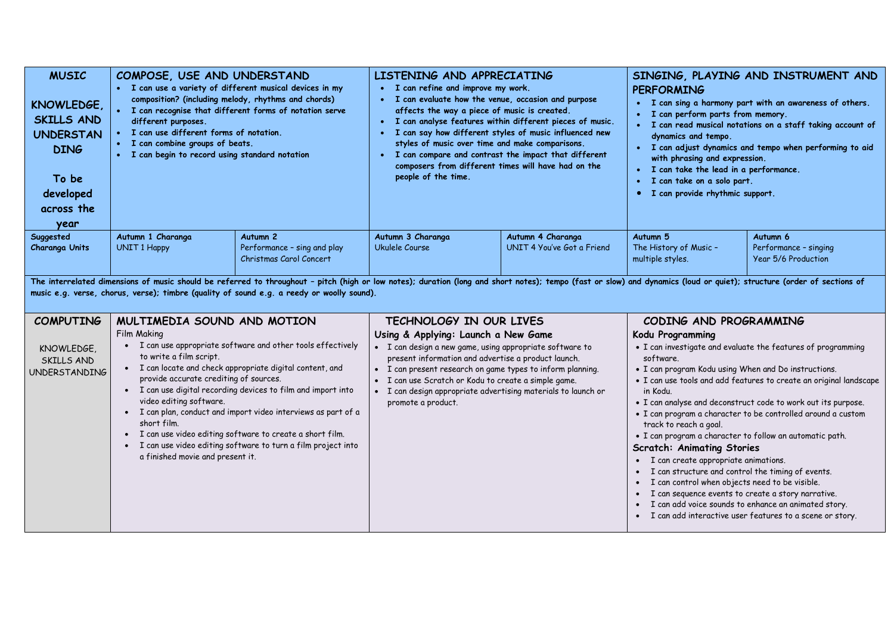| <b>MUSIC</b><br>KNOWLEDGE,<br><b>SKILLS AND</b><br><b>UNDERSTAN</b><br><b>DING</b><br>To be<br>developed<br>across the<br>year | COMPOSE, USE AND UNDERSTAND<br>• I can use a variety of different musical devices in my<br>composition? (including melody, rhythms and chords)<br>• I can recognise that different forms of notation serve<br>different purposes.<br>• I can use different forms of notation.<br>· I can combine groups of beats.<br>• I can begin to record using standard notation                                                                                                                                                                                       |                                                                                                                                                                                                                                                                                                                     | LISTENING AND APPRECIATING<br>• I can refine and improve my work.<br>• I can evaluate how the venue, occasion and purpose<br>affects the way a piece of music is created.<br>people of the time.                                                                                                                                                                  | · I can analyse features within different pieces of music.<br>· I can say how different styles of music influenced new<br>styles of music over time and make comparisons.<br>• I can compare and contrast the impact that different<br>composers from different times will have had on the | SINGING, PLAYING AND INSTRUMENT AND<br><b>PERFORMING</b><br>• I can sing a harmony part with an awareness of others.<br>I can perform parts from memory.<br>I can read musical notations on a staff taking account of<br>$\bullet$<br>dynamics and tempo.<br>· I can adjust dynamics and tempo when performing to aid<br>with phrasing and expression.<br>· I can take the lead in a performance.<br>I can take on a solo part.<br>I can provide rhythmic support.<br>$\bullet$                                                                                                                                                                                                                                                                                                                                                |                                              |
|--------------------------------------------------------------------------------------------------------------------------------|------------------------------------------------------------------------------------------------------------------------------------------------------------------------------------------------------------------------------------------------------------------------------------------------------------------------------------------------------------------------------------------------------------------------------------------------------------------------------------------------------------------------------------------------------------|---------------------------------------------------------------------------------------------------------------------------------------------------------------------------------------------------------------------------------------------------------------------------------------------------------------------|-------------------------------------------------------------------------------------------------------------------------------------------------------------------------------------------------------------------------------------------------------------------------------------------------------------------------------------------------------------------|--------------------------------------------------------------------------------------------------------------------------------------------------------------------------------------------------------------------------------------------------------------------------------------------|--------------------------------------------------------------------------------------------------------------------------------------------------------------------------------------------------------------------------------------------------------------------------------------------------------------------------------------------------------------------------------------------------------------------------------------------------------------------------------------------------------------------------------------------------------------------------------------------------------------------------------------------------------------------------------------------------------------------------------------------------------------------------------------------------------------------------------|----------------------------------------------|
| Suggested                                                                                                                      | Autumn 1 Charanga                                                                                                                                                                                                                                                                                                                                                                                                                                                                                                                                          | Autumn <sub>2</sub>                                                                                                                                                                                                                                                                                                 | Autumn 3 Charanga                                                                                                                                                                                                                                                                                                                                                 | Autumn 4 Charanga                                                                                                                                                                                                                                                                          | Autumn 5                                                                                                                                                                                                                                                                                                                                                                                                                                                                                                                                                                                                                                                                                                                                                                                                                       | Autumn 6                                     |
| <b>Charanga Units</b>                                                                                                          | <b>UNIT 1 Happy</b>                                                                                                                                                                                                                                                                                                                                                                                                                                                                                                                                        | Performance - sing and play<br>Christmas Carol Concert                                                                                                                                                                                                                                                              | Ukulele Course                                                                                                                                                                                                                                                                                                                                                    | UNIT 4 You've Got a Friend                                                                                                                                                                                                                                                                 | The History of Music -<br>multiple styles.                                                                                                                                                                                                                                                                                                                                                                                                                                                                                                                                                                                                                                                                                                                                                                                     | Performance - singing<br>Year 5/6 Production |
|                                                                                                                                |                                                                                                                                                                                                                                                                                                                                                                                                                                                                                                                                                            | The interrelated dimensions of music should be referred to throughout - pitch (high or low notes); duration (long and short notes); tempo (fast or slow) and dynamics (loud or quiet); structure (order of sections of<br>music e.g. verse, chorus, verse); timbre (quality of sound e.g. a reedy or woolly sound). |                                                                                                                                                                                                                                                                                                                                                                   |                                                                                                                                                                                                                                                                                            |                                                                                                                                                                                                                                                                                                                                                                                                                                                                                                                                                                                                                                                                                                                                                                                                                                |                                              |
| <b>COMPUTING</b>                                                                                                               | MULTIMEDIA SOUND AND MOTION                                                                                                                                                                                                                                                                                                                                                                                                                                                                                                                                |                                                                                                                                                                                                                                                                                                                     | TECHNOLOGY IN OUR LIVES                                                                                                                                                                                                                                                                                                                                           |                                                                                                                                                                                                                                                                                            | CODING AND PROGRAMMING                                                                                                                                                                                                                                                                                                                                                                                                                                                                                                                                                                                                                                                                                                                                                                                                         |                                              |
| KNOWLEDGE,<br>SKILLS AND<br><b>UNDERSTANDING</b>                                                                               | Film Making<br>• I can use appropriate software and other tools effectively<br>to write a film script.<br>• I can locate and check appropriate digital content, and<br>provide accurate crediting of sources.<br>• I can use digital recording devices to film and import into<br>video editing software.<br>· I can plan, conduct and import video interviews as part of a<br>short film.<br>I can use video editing software to create a short film.<br>I can use video editing software to turn a film project into<br>a finished movie and present it. |                                                                                                                                                                                                                                                                                                                     | Using & Applying: Launch a New Game<br>· I can design a new game, using appropriate software to<br>present information and advertise a product launch.<br>• I can present research on game types to inform planning.<br>· I can use Scratch or Kodu to create a simple game.<br>I can design appropriate advertising materials to launch or<br>promote a product. |                                                                                                                                                                                                                                                                                            | Kodu Programming<br>• I can investigate and evaluate the features of programming<br>software.<br>• I can program Kodu using When and Do instructions.<br>• I can use tools and add features to create an original landscape<br>in Kodu.<br>• I can analyse and deconstruct code to work out its purpose.<br>• I can program a character to be controlled around a custom<br>track to reach a goal.<br>· I can program a character to follow an automatic path.<br><b>Scratch: Animating Stories</b><br>• I can create appropriate animations.<br>I can structure and control the timing of events.<br>I can control when objects need to be visible.<br>I can sequence events to create a story narrative.<br>I can add voice sounds to enhance an animated story.<br>I can add interactive user features to a scene or story. |                                              |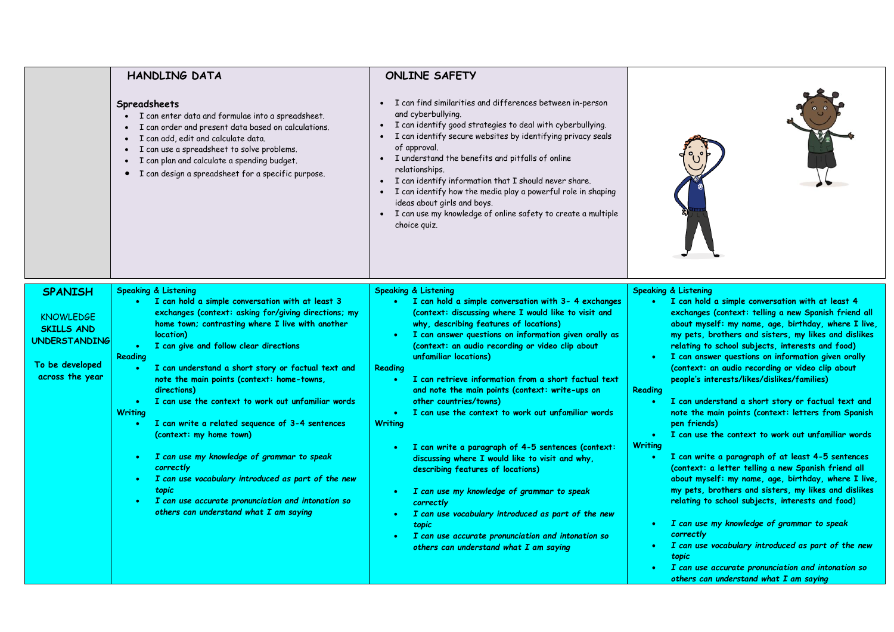|                                                                                                                       | HANDLING DATA<br>Spreadsheets<br>· I can enter data and formulae into a spreadsheet.<br>I can order and present data based on calculations.<br>• I can add, edit and calculate data.<br>• I can use a spreadsheet to solve problems.<br>• I can plan and calculate a spending budget.<br>• I can design a spreadsheet for a specific purpose.                                                                                                                                                                                                                                                                                                                                                                                                                                              | <b>ONLINE SAFETY</b><br>• I can find similarities and differences between in-person<br>and cyberbullying.<br>I can identify good strategies to deal with cyberbullying.<br>• I can identify secure websites by identifying privacy seals<br>of approval.<br>• I understand the benefits and pitfalls of online<br>relationships.<br>• I can identify information that I should never share.<br>• I can identify how the media play a powerful role in shaping<br>ideas about girls and boys.<br>• I can use my knowledge of online safety to create a multiple<br>choice quiz.                                                                                                                                                                                                                                                                                                                                                                                                                                             |                                                                                                                                                                                                                                                                                                                                                                                                                                                                                                                                                                                                                                                                                                                                                                                                                                                                                                                                                                                                                                                                                                                                                                                                                              |
|-----------------------------------------------------------------------------------------------------------------------|--------------------------------------------------------------------------------------------------------------------------------------------------------------------------------------------------------------------------------------------------------------------------------------------------------------------------------------------------------------------------------------------------------------------------------------------------------------------------------------------------------------------------------------------------------------------------------------------------------------------------------------------------------------------------------------------------------------------------------------------------------------------------------------------|----------------------------------------------------------------------------------------------------------------------------------------------------------------------------------------------------------------------------------------------------------------------------------------------------------------------------------------------------------------------------------------------------------------------------------------------------------------------------------------------------------------------------------------------------------------------------------------------------------------------------------------------------------------------------------------------------------------------------------------------------------------------------------------------------------------------------------------------------------------------------------------------------------------------------------------------------------------------------------------------------------------------------|------------------------------------------------------------------------------------------------------------------------------------------------------------------------------------------------------------------------------------------------------------------------------------------------------------------------------------------------------------------------------------------------------------------------------------------------------------------------------------------------------------------------------------------------------------------------------------------------------------------------------------------------------------------------------------------------------------------------------------------------------------------------------------------------------------------------------------------------------------------------------------------------------------------------------------------------------------------------------------------------------------------------------------------------------------------------------------------------------------------------------------------------------------------------------------------------------------------------------|
| <b>SPANISH</b><br><b>KNOWLEDGE</b><br><b>SKILLS AND</b><br><b>UNDERSTANDING</b><br>To be developed<br>across the year | Speaking & Listening<br>• I can hold a simple conversation with at least 3<br>exchanges (context: asking for/giving directions; my<br>home town; contrasting where I live with another<br>location)<br>I can give and follow clear directions<br>Reading<br>I can understand a short story or factual text and<br>note the main points (context: home-towns,<br>directions)<br>I can use the context to work out unfamiliar words<br>$\bullet$<br><b>Writing</b><br>I can write a related sequence of 3-4 sentences<br>$\bullet$<br>(context: my home town)<br>I can use my knowledge of grammar to speak<br>٠<br>correctly<br>I can use vocabulary introduced as part of the new<br>topic<br>I can use accurate pronunciation and intonation so<br>others can understand what I am saying | Speaking & Listening<br>I can hold a simple conversation with 3- 4 exchanges<br>$\bullet$ .<br><br>:<br>(context: discussing where I would like to visit and<br>why, describing features of locations)<br>I can answer questions on information given orally as<br>$\bullet$ .<br><br>:<br>(context: an audio recording or video clip about<br>unfamiliar locations)<br>Reading<br>I can retrieve information from a short factual text<br>$\bullet$ .<br>and note the main points (context: write-ups on<br>other countries/towns)<br>I can use the context to work out unfamiliar words<br>$\bullet$ .<br><br>:<br><b>Writing</b><br>I can write a paragraph of 4-5 sentences (context:<br>discussing where I would like to visit and why,<br>describing features of locations)<br>I can use my knowledge of grammar to speak<br>correctly<br>I can use vocabulary introduced as part of the new<br>topic<br>I can use accurate pronunciation and intonation so<br>$\bullet$ .<br>others can understand what I am saying | Speaking & Listening<br>I can hold a simple conversation with at least 4<br>exchanges (context: telling a new Spanish friend all<br>about myself: my name, age, birthday, where I live,<br>my pets, brothers and sisters, my likes and dislikes<br>relating to school subjects, interests and food)<br>I can answer questions on information given orally<br>(context: an audio recording or video clip about<br>people's interests/likes/dislikes/families)<br>Reading<br>I can understand a short story or factual text and<br>$\bullet$<br>note the main points (context: letters from Spanish<br>pen friends)<br>I can use the context to work out unfamiliar words<br>$\bullet$<br><b>Writing</b><br>I can write a paragraph of at least 4-5 sentences<br>$\bullet$<br>(context: a letter telling a new Spanish friend all<br>about myself: my name, age, birthday, where I live,<br>my pets, brothers and sisters, my likes and dislikes<br>relating to school subjects, interests and food)<br>I can use my knowledge of grammar to speak<br>correctly<br>I can use vocabulary introduced as part of the new<br>topic<br>I can use accurate pronunciation and intonation so<br>others can understand what I am saying |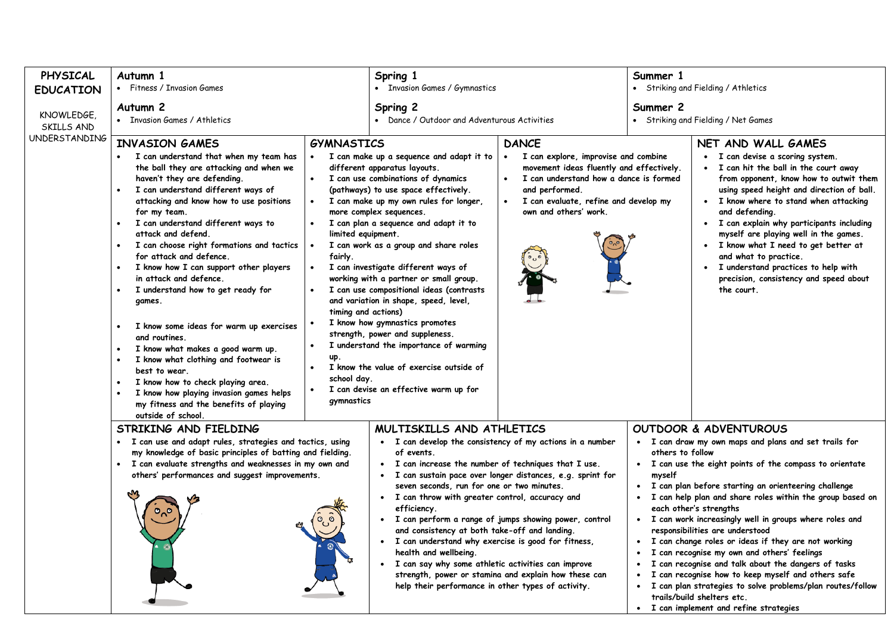| PHYSICAL                 | Autumn 1                                                                                                                                                                                                                                                                                                                                                                                                                                                                                                                                                                                                                                                                                                                                                                                |                                                                                                               | Spring 1                                                                                                                                                                                                                                                                                                                                                                                                                                                                                                                                                                                                                                                                                                     |                                                                                                                                                                                                                                | Summer 1                                                                                                                                                                                                                                                                                                                                                                                                                                                                                                                                                                                                                                                                                                                                                                               |                                                                                                                                                                                                                                                                                                                                                                                                                                                                                                               |  |
|--------------------------|-----------------------------------------------------------------------------------------------------------------------------------------------------------------------------------------------------------------------------------------------------------------------------------------------------------------------------------------------------------------------------------------------------------------------------------------------------------------------------------------------------------------------------------------------------------------------------------------------------------------------------------------------------------------------------------------------------------------------------------------------------------------------------------------|---------------------------------------------------------------------------------------------------------------|--------------------------------------------------------------------------------------------------------------------------------------------------------------------------------------------------------------------------------------------------------------------------------------------------------------------------------------------------------------------------------------------------------------------------------------------------------------------------------------------------------------------------------------------------------------------------------------------------------------------------------------------------------------------------------------------------------------|--------------------------------------------------------------------------------------------------------------------------------------------------------------------------------------------------------------------------------|----------------------------------------------------------------------------------------------------------------------------------------------------------------------------------------------------------------------------------------------------------------------------------------------------------------------------------------------------------------------------------------------------------------------------------------------------------------------------------------------------------------------------------------------------------------------------------------------------------------------------------------------------------------------------------------------------------------------------------------------------------------------------------------|---------------------------------------------------------------------------------------------------------------------------------------------------------------------------------------------------------------------------------------------------------------------------------------------------------------------------------------------------------------------------------------------------------------------------------------------------------------------------------------------------------------|--|
| <b>EDUCATION</b>         | • Fitness / Invasion Games                                                                                                                                                                                                                                                                                                                                                                                                                                                                                                                                                                                                                                                                                                                                                              |                                                                                                               | • Invasion Games / Gymnastics                                                                                                                                                                                                                                                                                                                                                                                                                                                                                                                                                                                                                                                                                |                                                                                                                                                                                                                                | • Striking and Fielding / Athletics                                                                                                                                                                                                                                                                                                                                                                                                                                                                                                                                                                                                                                                                                                                                                    |                                                                                                                                                                                                                                                                                                                                                                                                                                                                                                               |  |
| KNOWLEDGE,<br>SKILLS AND | Autumn <sub>2</sub><br>• Invasion Games / Athletics                                                                                                                                                                                                                                                                                                                                                                                                                                                                                                                                                                                                                                                                                                                                     |                                                                                                               | Spring 2<br>• Dance / Outdoor and Adventurous Activities                                                                                                                                                                                                                                                                                                                                                                                                                                                                                                                                                                                                                                                     |                                                                                                                                                                                                                                | Summer 2<br>• Striking and Fielding / Net Games                                                                                                                                                                                                                                                                                                                                                                                                                                                                                                                                                                                                                                                                                                                                        |                                                                                                                                                                                                                                                                                                                                                                                                                                                                                                               |  |
| <b>UNDERSTANDING</b>     | <b>INVASION GAMES</b><br>• I can understand that when my team has<br>the ball they are attacking and when we<br>haven't they are defending.<br>I can understand different ways of<br>attacking and know how to use positions<br>for my team.<br>I can understand different ways to<br>attack and defend.<br>I can choose right formations and tactics<br>for attack and defence.<br>I know how I can support other players<br>in attack and defence.<br>I understand how to get ready for<br>games.<br>I know some ideas for warm up exercises<br>and routines.<br>I know what makes a good warm up.<br>I know what clothing and footwear is<br>best to wear.<br>I know how to check playing area.<br>I know how playing invasion games helps<br>my fitness and the benefits of playing | <b>GYMNASTICS</b><br>limited equipment.<br>fairly.<br>timing and actions)<br>up.<br>school day.<br>gymnastics | I can make up a sequence and adapt it to<br>different apparatus layouts.<br>I can use combinations of dynamics<br>(pathways) to use space effectively.<br>I can make up my own rules for longer,<br>more complex sequences.<br>I can plan a sequence and adapt it to<br>I can work as a group and share roles<br>I can investigate different ways of<br>working with a partner or small group.<br>I can use compositional ideas (contrasts<br>and variation in shape, speed, level,<br>I know how gymnastics promotes<br>strength, power and suppleness.<br>I understand the importance of warming<br>I know the value of exercise outside of<br>I can devise an effective warm up for                       | <b>DANCE</b><br>I can explore, improvise and combine<br>movement ideas fluently and effectively.<br>I can understand how a dance is formed<br>and performed.<br>I can evaluate, refine and develop my<br>own and others' work. |                                                                                                                                                                                                                                                                                                                                                                                                                                                                                                                                                                                                                                                                                                                                                                                        | NET AND WALL GAMES<br>• I can devise a scoring system.<br>• I can hit the ball in the court away<br>from opponent, know how to outwit them<br>using speed height and direction of ball.<br>• I know where to stand when attacking<br>and defending.<br>• I can explain why participants including<br>myself are playing well in the games.<br>· I know what I need to get better at<br>and what to practice.<br>• I understand practices to help with<br>precision, consistency and speed about<br>the court. |  |
|                          | outside of school.<br>STRIKING AND FIELDING<br>• I can use and adapt rules, strategies and tactics, using<br>my knowledge of basic principles of batting and fielding.<br>· I can evaluate strengths and weaknesses in my own and<br>others' performances and suggest improvements.                                                                                                                                                                                                                                                                                                                                                                                                                                                                                                     |                                                                                                               | MULTISKILLS AND ATHLETICS<br>• I can develop the consistency of my actions in a number<br>of events.<br>I can increase the number of techniques that I use.<br>· I can sustain pace over longer distances, e.g. sprint for<br>seven seconds, run for one or two minutes.<br>• I can throw with greater control, accuracy and<br>efficiency.<br>• I can perform a range of jumps showing power, control<br>and consistency at both take-off and landing.<br>• I can understand why exercise is good for fitness,<br>health and wellbeing.<br>I can say why some athletic activities can improve<br>strength, power or stamina and explain how these can<br>help their performance in other types of activity. |                                                                                                                                                                                                                                | OUTDOOR & ADVENTUROUS<br>• I can draw my own maps and plans and set trails for<br>others to follow<br>• I can use the eight points of the compass to orientate<br>myself<br>I can plan before starting an orienteering challenge<br>. I can help plan and share roles within the group based on<br>each other's strengths<br>• I can work increasingly well in groups where roles and<br>responsibilities are understood<br>• I can change roles or ideas if they are not working<br>I can recognise my own and others' feelings<br>I can recognise and talk about the dangers of tasks<br>I can recognise how to keep myself and others safe<br>· I can plan strategies to solve problems/plan routes/follow<br>trails/build shelters etc.<br>• I can implement and refine strategies |                                                                                                                                                                                                                                                                                                                                                                                                                                                                                                               |  |